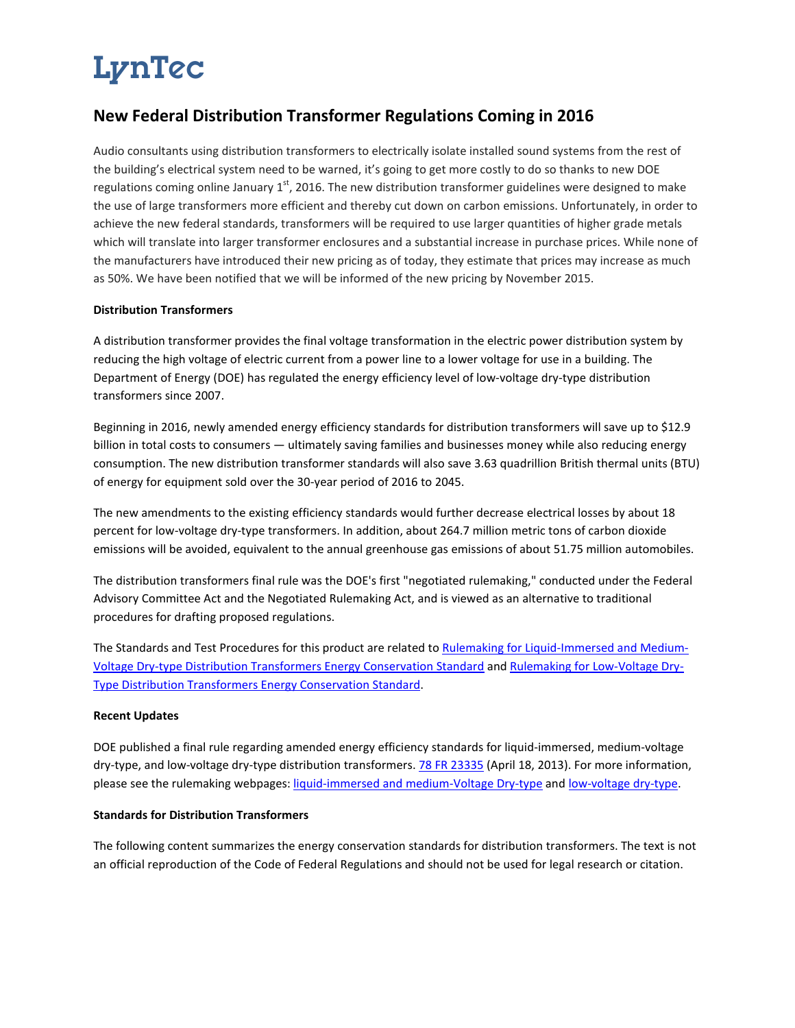# LynTec

### **New Federal Distribution Transformer Regulations Coming in 2016**

Audio consultants using distribution transformers to electrically isolate installed sound systems from the rest of the building's electrical system need to be warned, it's going to get more costly to do so thanks to new DOE regulations coming online January  $1<sup>st</sup>$ , 2016. The new distribution transformer guidelines were designed to make the use of large transformers more efficient and thereby cut down on carbon emissions. Unfortunately, in order to achieve the new federal standards, transformers will be required to use larger quantities of higher grade metals which will translate into larger transformer enclosures and a substantial increase in purchase prices. While none of the manufacturers have introduced their new pricing as of today, they estimate that prices may increase as much as 50%. We have been notified that we will be informed of the new pricing by November 2015.

#### **Distribution Transformers**

A distribution transformer provides the final voltage transformation in the electric power distribution system by reducing the high voltage of electric current from a power line to a lower voltage for use in a building. The Department of Energy (DOE) has regulated the energy efficiency level of low-voltage dry-type distribution transformers since 2007.

Beginning in 2016, newly amended energy efficiency standards for distribution transformers will save up to \$12.9 billion in total costs to consumers — ultimately saving families and businesses money while also reducing energy consumption. The new distribution transformer standards will also save 3.63 quadrillion British thermal units (BTU) of energy for equipment sold over the 30-year period of 2016 to 2045.

The new amendments to the existing efficiency standards would further decrease electrical losses by about 18 percent for low-voltage dry-type transformers. In addition, about 264.7 million metric tons of carbon dioxide emissions will be avoided, equivalent to the annual greenhouse gas emissions of about 51.75 million automobiles.

The distribution transformers final rule was the DOE's first "negotiated rulemaking," conducted under the Federal Advisory Committee Act and the Negotiated Rulemaking Act, and is viewed as an alternative to traditional procedures for drafting proposed regulations.

The Standards and Test Procedures for this product are related to [Rulemaking for Liquid-Immersed and Medium-](http://www1.eere.energy.gov/buildings/appliance_standards/rulemaking.aspx/ruleid/44)[Voltage Dry-type Distribution Transformers Energy Conservation Standard](http://www1.eere.energy.gov/buildings/appliance_standards/rulemaking.aspx/ruleid/44) and [Rulemaking for Low-Voltage Dry-](http://www1.eere.energy.gov/buildings/appliance_standards/rulemaking.aspx/ruleid/43)[Type Distribution Transformers Energy Conservation Standard.](http://www1.eere.energy.gov/buildings/appliance_standards/rulemaking.aspx/ruleid/43)

#### **Recent Updates**

DOE published a final rule regarding amended energy efficiency standards for liquid-immersed, medium-voltage dry-type, and low-voltage dry-type distribution transformers. [78 FR 23335](http://www.regulations.gov/%23!documentDetail;D=EERE-2010-BT-STD-0048-0762) (April 18, 2013). For more information, please see the rulemaking webpages: [liquid-immersed and medium-Voltage Dry-type](http://www1.eere.energy.gov/buildings/appliance_standards/rulemaking.aspx/ruleid/44) and [low-voltage dry-type.](http://www1.eere.energy.gov/buildings/appliance_standards/rulemaking.aspx/ruleid/43)

#### **Standards for Distribution Transformers**

The following content summarizes the energy conservation standards for distribution transformers. The text is not an official reproduction of the Code of Federal Regulations and should not be used for legal research or citation.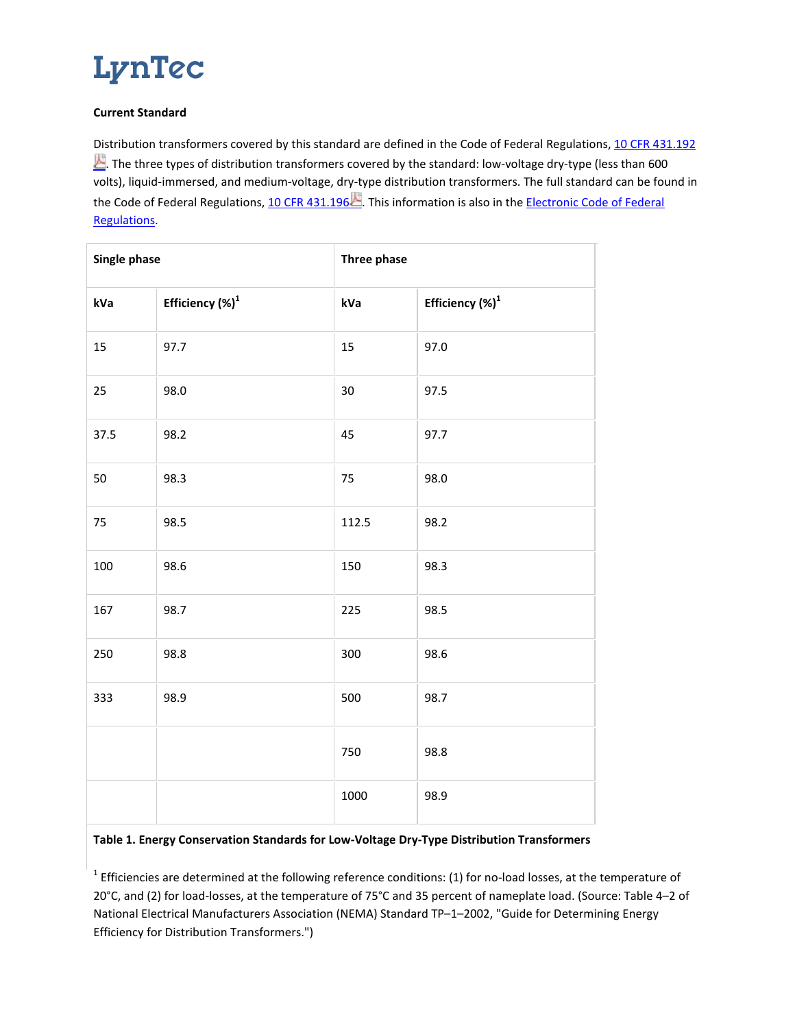### LynTec

#### **Current Standard**

Distribution transformers covered by this standard are defined in the Code of Federal Regulations, [10 CFR 431.192](http://www.gpo.gov/fdsys/pkg/CFR-2012-title10-vol3/pdf/CFR-2012-title10-vol3-sec431-192.pdfhttp:/www.gpo.gov/fdsys/pkg/CFR-2011-title10-vol3/pdf/CFR-2011-title10-vol3-sec431-192.pdf) The three types of distribution transformers covered by the standard: low-voltage dry-type (less than 600 volts), liquid-immersed, and medium-voltage, dry-type distribution transformers. The full standard can be found in the Code of Federal Regulations, [10 CFR 431.196](http://www.gpo.gov/fdsys/pkg/CFR-2012-title10-vol3/pdf/CFR-2012-title10-vol3-sec431-196.pdf) . This information is also in the Electronic Code of Federal [Regulations.](http://ecfr.gpoaccess.gov/cgi/t/text/text-idx?c=ecfr&sid=541080b058f9e8ec8e88d54bddd7fe85&rgn=div8&view=text&node=10:3.0.1.4.19.11.65.4&idno=10http://ecfr.gpoaccess.gov/cgi/t/text/text-idx?c=ecfr&sid=f5550c56b5d20471d302d974450100dd&rgn=div8&view=text&node=10:3.0.1.4.19.11.64.4&idno=10)

| Single phase |                             | Three phase |                             |
|--------------|-----------------------------|-------------|-----------------------------|
| kVa          | Efficiency (%) <sup>1</sup> | kVa         | Efficiency (%) <sup>1</sup> |
| 15           | 97.7                        | 15          | 97.0                        |
| 25           | 98.0                        | 30          | 97.5                        |
| 37.5         | 98.2                        | 45          | 97.7                        |
| $50\,$       | 98.3                        | 75          | 98.0                        |
| 75           | 98.5                        | 112.5       | 98.2                        |
| 100          | 98.6                        | 150         | 98.3                        |
| 167          | 98.7                        | 225         | 98.5                        |
| 250          | 98.8                        | 300         | 98.6                        |
| 333          | 98.9                        | 500         | 98.7                        |
|              |                             | 750         | 98.8                        |
|              |                             | 1000        | 98.9                        |

#### **Table 1. Energy Conservation Standards for Low-Voltage Dry-Type Distribution Transformers**

 $1$  Efficiencies are determined at the following reference conditions: (1) for no-load losses, at the temperature of 20°C, and (2) for load-losses, at the temperature of 75°C and 35 percent of nameplate load. (Source: Table 4–2 of National Electrical Manufacturers Association (NEMA) Standard TP–1–2002, "Guide for Determining Energy Efficiency for Distribution Transformers.")